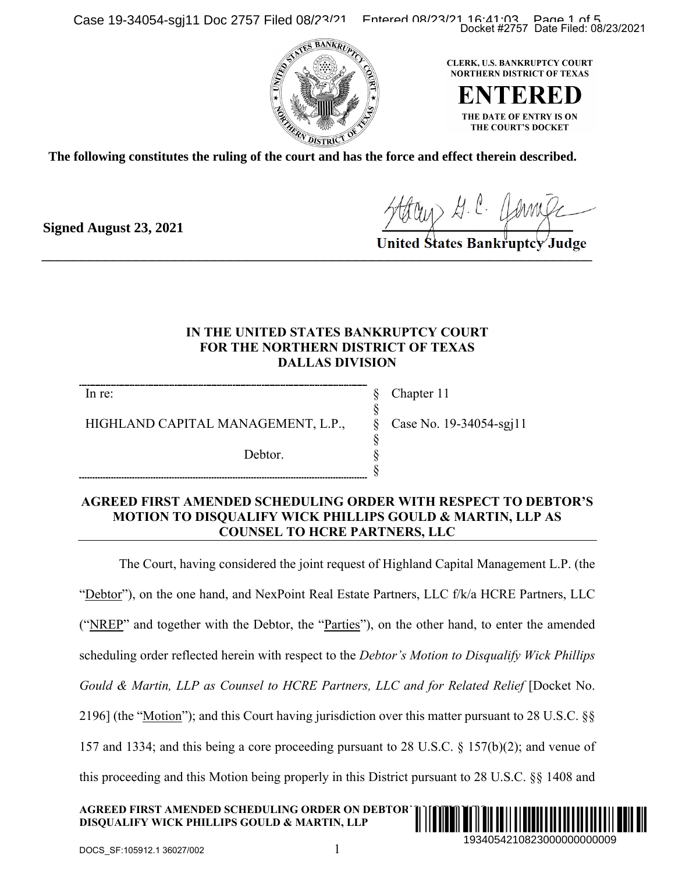Case 19-34054-sgj11 Doc 2757 Filed 08/23/21 Entered 08/23/21 16:41:03 Page 1 of 5





**The following constitutes the ruling of the court and has the force and effect therein described.**

**Signed August 23, 2021**

Hour H. C. Jame

## **IN THE UNITED STATES BANKRUPTCY COURT FOR THE NORTHERN DISTRICT OF TEXAS DALLAS DIVISION**

§ § § § § §

In re:

HIGHLAND CAPITAL MANAGEMENT, L.P.,

Debtor.

Chapter 11 Case No. 19-34054-sgj11

### **AGREED FIRST AMENDED SCHEDULING ORDER WITH RESPECT TO DEBTOR'S MOTION TO DISQUALIFY WICK PHILLIPS GOULD & MARTIN, LLP AS COUNSEL TO HCRE PARTNERS, LLC**

The Court, having considered the joint request of Highland Capital Management L.P. (the

"Debtor"), on the one hand, and NexPoint Real Estate Partners, LLC f/k/a HCRE Partners, LLC

("NREP" and together with the Debtor, the "Parties"), on the other hand, to enter the amended

scheduling order reflected herein with respect to the *Debtor's Motion to Disqualify Wick Phillips* 

Gould & Martin, LLP as Counsel to HCRE Partners, LLC and for Related Relief [Docket No.

2196] (the "Motion"); and this Court having jurisdiction over this matter pursuant to 28 U.S.C. §§

157 and 1334; and this being a core proceeding pursuant to 28 U.S.C. § 157(b)(2); and venue of

this proceeding and this Motion being properly in this District pursuant to 28 U.S.C. §§ 1408 and

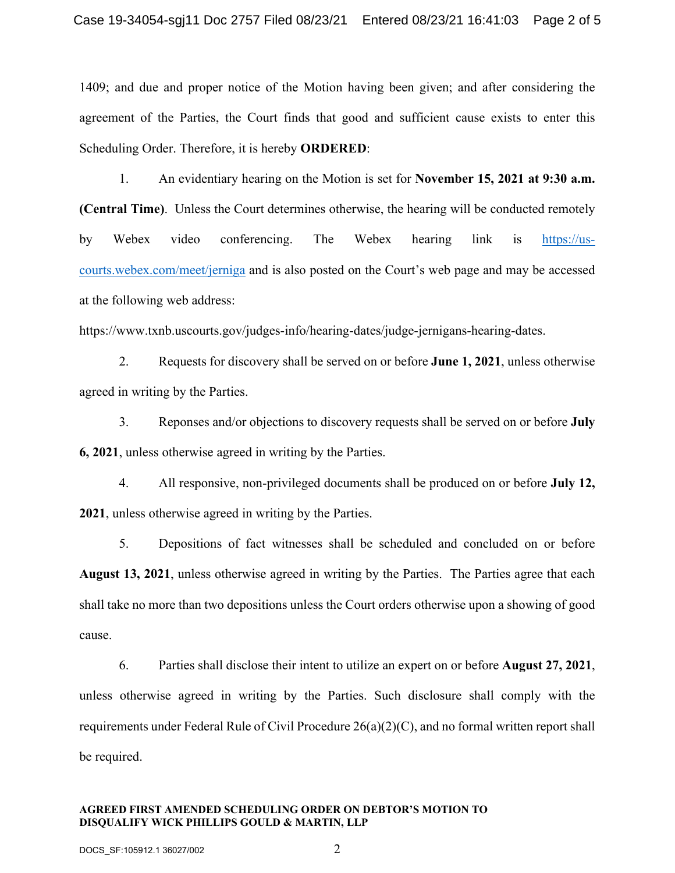1409; and due and proper notice of the Motion having been given; and after considering the agreement of the Parties, the Court finds that good and sufficient cause exists to enter this Scheduling Order. Therefore, it is hereby **ORDERED**:

1. An evidentiary hearing on the Motion is set for **November 15, 2021 at 9:30 a.m. (Central Time)**. Unless the Court determines otherwise, the hearing will be conducted remotely by Webex video conferencing. The Webex hearing link is [https://us](https://us-courts.webex.com/meet/jerniga)[courts.webex.com/meet/jerniga](https://us-courts.webex.com/meet/jerniga) and is also posted on the Court's web page and may be accessed at the following web address:

https://www.txnb.uscourts.gov/judges-info/hearing-dates/judge-jernigans-hearing-dates.

2. Requests for discovery shall be served on or before **June 1, 2021**, unless otherwise agreed in writing by the Parties.

3. Reponses and/or objections to discovery requests shall be served on or before **July 6, 2021**, unless otherwise agreed in writing by the Parties.

4. All responsive, non-privileged documents shall be produced on or before **July 12, 2021**, unless otherwise agreed in writing by the Parties.

5. Depositions of fact witnesses shall be scheduled and concluded on or before **August 13, 2021**, unless otherwise agreed in writing by the Parties. The Parties agree that each shall take no more than two depositions unless the Court orders otherwise upon a showing of good cause.

6. Parties shall disclose their intent to utilize an expert on or before **August 27, 2021**, unless otherwise agreed in writing by the Parties. Such disclosure shall comply with the requirements under Federal Rule of Civil Procedure 26(a)(2)(C), and no formal written report shall be required.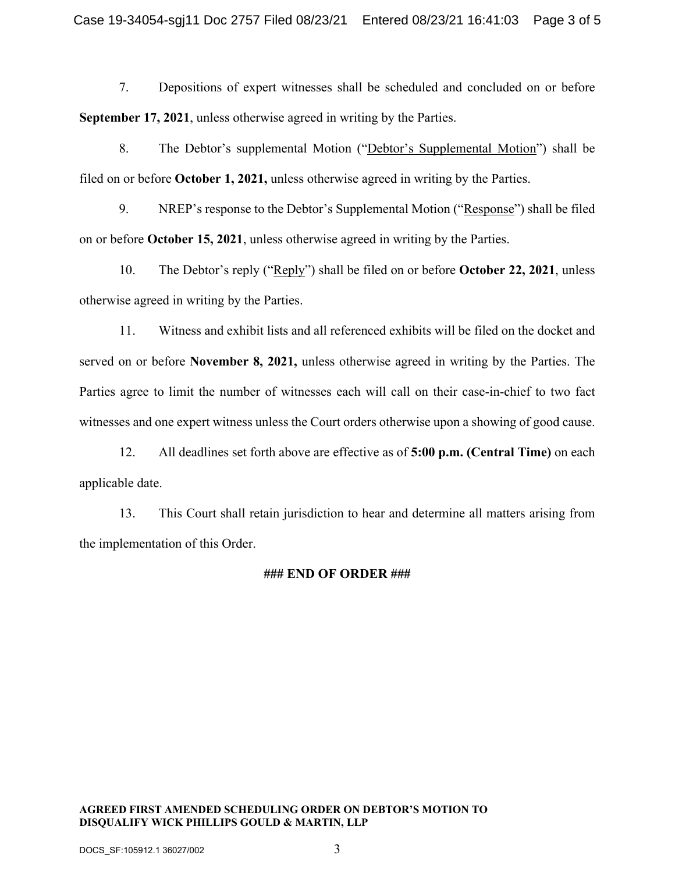7. Depositions of expert witnesses shall be scheduled and concluded on or before **September 17, 2021**, unless otherwise agreed in writing by the Parties.

8. The Debtor's supplemental Motion ("Debtor's Supplemental Motion") shall be filed on or before **October 1, 2021,** unless otherwise agreed in writing by the Parties.

9. NREP's response to the Debtor's Supplemental Motion ("Response") shall be filed on or before **October 15, 2021**, unless otherwise agreed in writing by the Parties.

10. The Debtor's reply ("Reply") shall be filed on or before **October 22, 2021**, unless otherwise agreed in writing by the Parties.

11. Witness and exhibit lists and all referenced exhibits will be filed on the docket and served on or before **November 8, 2021,** unless otherwise agreed in writing by the Parties. The Parties agree to limit the number of witnesses each will call on their case-in-chief to two fact witnesses and one expert witness unless the Court orders otherwise upon a showing of good cause.

12. All deadlines set forth above are effective as of **5:00 p.m. (Central Time)** on each applicable date.

13. This Court shall retain jurisdiction to hear and determine all matters arising from the implementation of this Order.

#### **### END OF ORDER ###**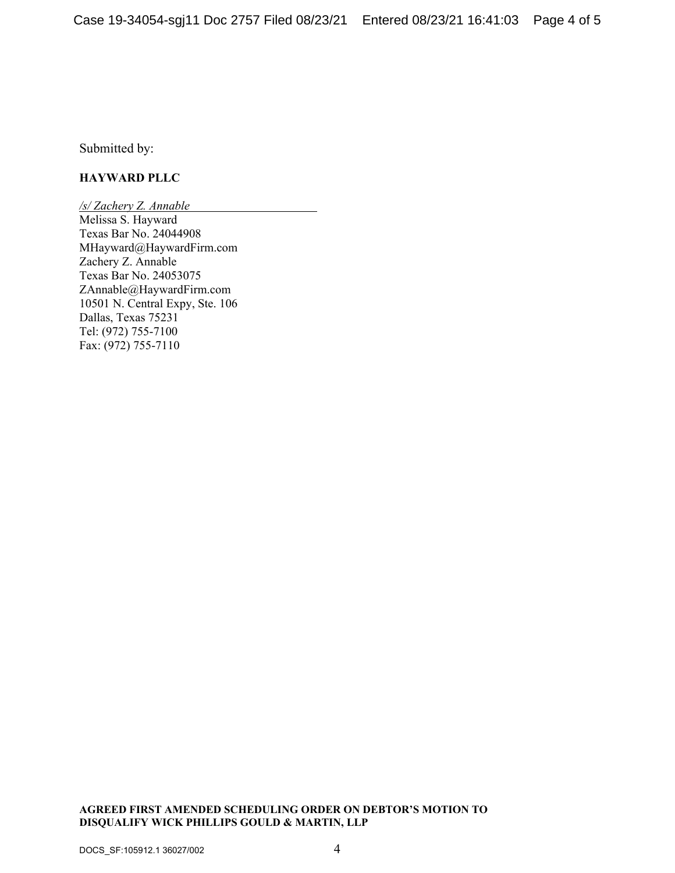Submitted by:

#### **HAYWARD PLLC**

*/s/ Zachery Z. Annable* Melissa S. Hayward Texas Bar No. 24044908 MHayward@HaywardFirm.com Zachery Z. Annable Texas Bar No. 24053075 ZAnnable@HaywardFirm.com 10501 N. Central Expy, Ste. 106 Dallas, Texas 75231 Tel: (972) 755-7100 Fax: (972) 755-7110